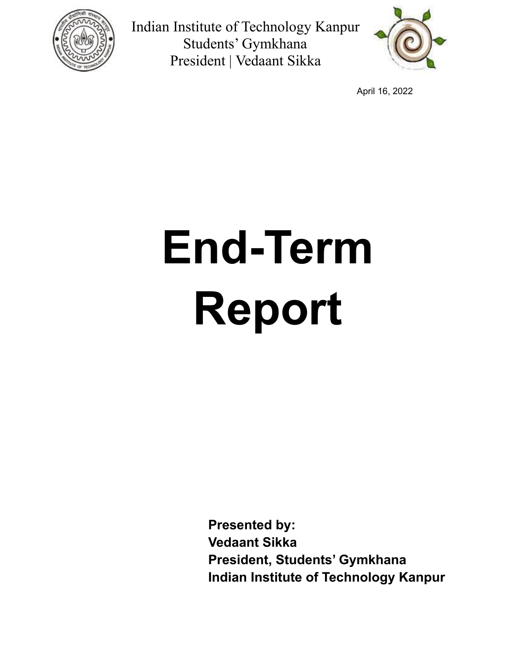



April 16, 2022

# **End-Term Report**

**Presented by: Vedaant Sikka President, Students' Gymkhana Indian Institute of Technology Kanpur**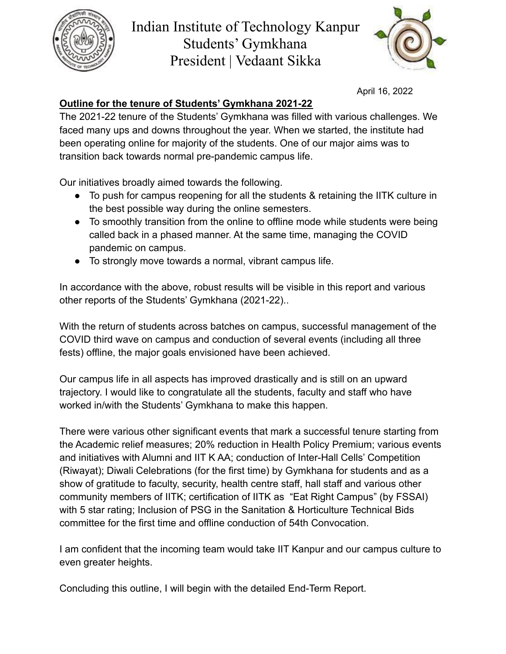



April 16, 2022

## **Outline for the tenure of Students' Gymkhana 2021-22**

The 2021-22 tenure of the Students' Gymkhana was filled with various challenges. We faced many ups and downs throughout the year. When we started, the institute had been operating online for majority of the students. One of our major aims was to transition back towards normal pre-pandemic campus life.

Our initiatives broadly aimed towards the following.

- To push for campus reopening for all the students & retaining the IITK culture in the best possible way during the online semesters.
- To smoothly transition from the online to offline mode while students were being called back in a phased manner. At the same time, managing the COVID pandemic on campus.
- To strongly move towards a normal, vibrant campus life.

In accordance with the above, robust results will be visible in this report and various other reports of the Students' Gymkhana (2021-22)..

With the return of students across batches on campus, successful management of the COVID third wave on campus and conduction of several events (including all three fests) offline, the major goals envisioned have been achieved.

Our campus life in all aspects has improved drastically and is still on an upward trajectory. I would like to congratulate all the students, faculty and staff who have worked in/with the Students' Gymkhana to make this happen.

There were various other significant events that mark a successful tenure starting from the Academic relief measures; 20% reduction in Health Policy Premium; various events and initiatives with Alumni and IIT K AA; conduction of Inter-Hall Cells' Competition (Riwayat); Diwali Celebrations (for the first time) by Gymkhana for students and as a show of gratitude to faculty, security, health centre staff, hall staff and various other community members of IITK; certification of IITK as "Eat Right Campus" (by FSSAI) with 5 star rating; Inclusion of PSG in the Sanitation & Horticulture Technical Bids committee for the first time and offline conduction of 54th Convocation.

I am confident that the incoming team would take IIT Kanpur and our campus culture to even greater heights.

Concluding this outline, I will begin with the detailed End-Term Report.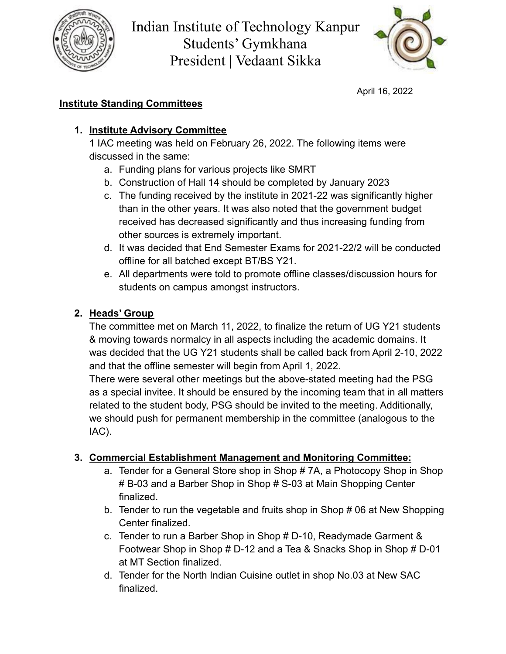



April 16, 2022

## **Institute Standing Committees**

## **1. Institute Advisory Committee**

1 IAC meeting was held on February 26, 2022. The following items were discussed in the same:

- a. Funding plans for various projects like SMRT
- b. Construction of Hall 14 should be completed by January 2023
- c. The funding received by the institute in 2021-22 was significantly higher than in the other years. It was also noted that the government budget received has decreased significantly and thus increasing funding from other sources is extremely important.
- d. It was decided that End Semester Exams for 2021-22/2 will be conducted offline for all batched except BT/BS Y21.
- e. All departments were told to promote offline classes/discussion hours for students on campus amongst instructors.

## **2. Heads' Group**

The committee met on March 11, 2022, to finalize the return of UG Y21 students & moving towards normalcy in all aspects including the academic domains. It was decided that the UG Y21 students shall be called back from April 2-10, 2022 and that the offline semester will begin from April 1, 2022.

There were several other meetings but the above-stated meeting had the PSG as a special invitee. It should be ensured by the incoming team that in all matters related to the student body, PSG should be invited to the meeting. Additionally, we should push for permanent membership in the committee (analogous to the IAC).

## **3. Commercial Establishment Management and Monitoring Committee:**

- a. Tender for a General Store shop in Shop # 7A, a Photocopy Shop in Shop # B-03 and a Barber Shop in Shop # S-03 at Main Shopping Center finalized.
- b. Tender to run the vegetable and fruits shop in Shop # 06 at New Shopping Center finalized.
- c. Tender to run a Barber Shop in Shop # D-10, Readymade Garment & Footwear Shop in Shop # D-12 and a Tea & Snacks Shop in Shop # D-01 at MT Section finalized.
- d. Tender for the North Indian Cuisine outlet in shop No.03 at New SAC finalized.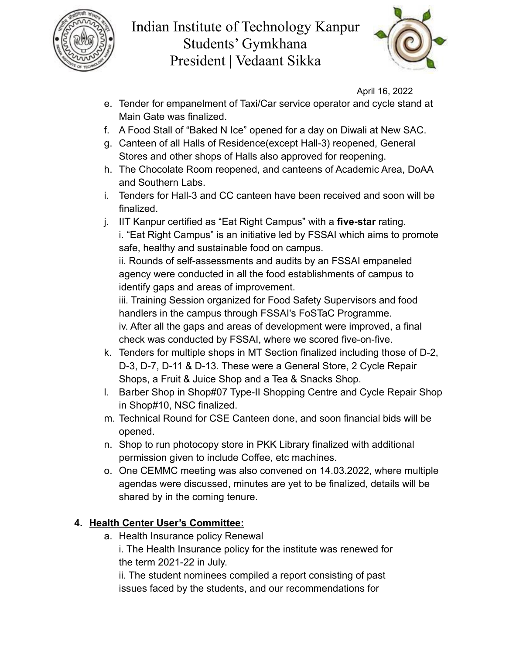



April 16, 2022

- e. Tender for empanelment of Taxi/Car service operator and cycle stand at Main Gate was finalized.
- f. A Food Stall of "Baked N Ice" opened for a day on Diwali at New SAC.
- g. Canteen of all Halls of Residence(except Hall-3) reopened, General Stores and other shops of Halls also approved for reopening.
- h. The Chocolate Room reopened, and canteens of Academic Area, DoAA and Southern Labs.
- i. Tenders for Hall-3 and CC canteen have been received and soon will be finalized.
- j. IIT Kanpur certified as "Eat Right Campus" with a **five-star** rating. i. "Eat Right Campus" is an initiative led by FSSAI which aims to promote safe, healthy and sustainable food on campus.

ii. Rounds of self-assessments and audits by an FSSAI empaneled agency were conducted in all the food establishments of campus to identify gaps and areas of improvement.

iii. Training Session organized for Food Safety Supervisors and food handlers in the campus through FSSAI's FoSTaC Programme. iv. After all the gaps and areas of development were improved, a final check was conducted by FSSAI, where we scored five-on-five.

- k. Tenders for multiple shops in MT Section finalized including those of D-2, D-3, D-7, D-11 & D-13. These were a General Store, 2 Cycle Repair Shops, a Fruit & Juice Shop and a Tea & Snacks Shop.
- l. Barber Shop in Shop#07 Type-II Shopping Centre and Cycle Repair Shop in Shop#10, NSC finalized.
- m. Technical Round for CSE Canteen done, and soon financial bids will be opened.
- n. Shop to run photocopy store in PKK Library finalized with additional permission given to include Coffee, etc machines.
- o. One CEMMC meeting was also convened on 14.03.2022, where multiple agendas were discussed, minutes are yet to be finalized, details will be shared by in the coming tenure.

## **4. Health Center User's Committee:**

a. Health Insurance policy Renewal

i. The Health Insurance policy for the institute was renewed for the term 2021-22 in July.

ii. The student nominees compiled a report consisting of past issues faced by the students, and our recommendations for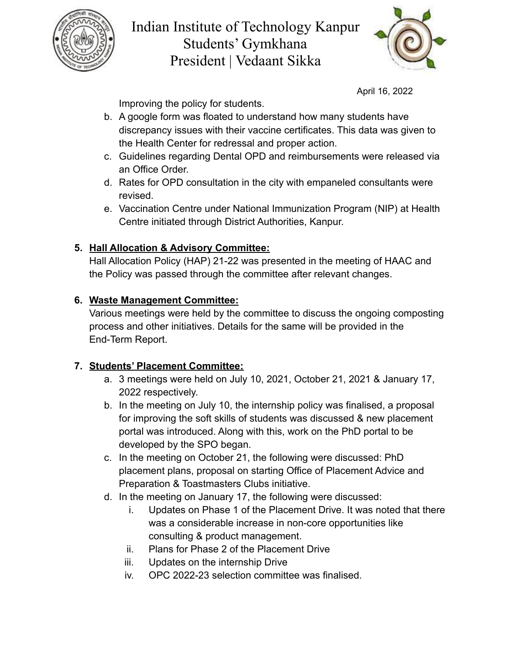



April 16, 2022

Improving the policy for students.

- b. A google form was floated to understand how many students have discrepancy issues with their vaccine certificates. This data was given to the Health Center for redressal and proper action.
- c. Guidelines regarding Dental OPD and reimbursements were released via an Office Order.
- d. Rates for OPD consultation in the city with empaneled consultants were revised.
- e. Vaccination Centre under National Immunization Program (NIP) at Health Centre initiated through District Authorities, Kanpur.

## **5. Hall Allocation & Advisory Committee:**

Hall Allocation Policy (HAP) 21-22 was presented in the meeting of HAAC and the Policy was passed through the committee after relevant changes.

## **6. Waste Management Committee:**

Various meetings were held by the committee to discuss the ongoing composting process and other initiatives. Details for the same will be provided in the End-Term Report.

## **7. Students' Placement Committee:**

- a. 3 meetings were held on July 10, 2021, October 21, 2021 & January 17, 2022 respectively.
- b. In the meeting on July 10, the internship policy was finalised, a proposal for improving the soft skills of students was discussed & new placement portal was introduced. Along with this, work on the PhD portal to be developed by the SPO began.
- c. In the meeting on October 21, the following were discussed: PhD placement plans, proposal on starting Office of Placement Advice and Preparation & Toastmasters Clubs initiative.
- d. In the meeting on January 17, the following were discussed:
	- i. Updates on Phase 1 of the Placement Drive. It was noted that there was a considerable increase in non-core opportunities like consulting & product management.
	- ii. Plans for Phase 2 of the Placement Drive
	- iii. Updates on the internship Drive
	- iv. OPC 2022-23 selection committee was finalised.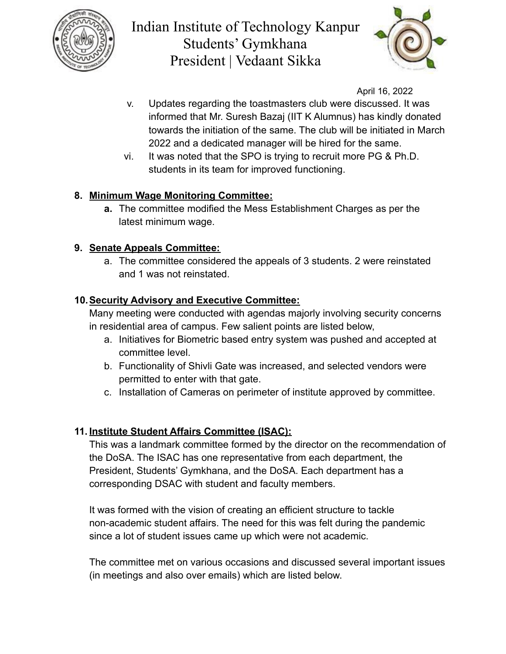



April 16, 2022

- v. Updates regarding the toastmasters club were discussed. It was informed that Mr. Suresh Bazaj (IIT K Alumnus) has kindly donated towards the initiation of the same. The club will be initiated in March 2022 and a dedicated manager will be hired for the same.
- vi. It was noted that the SPO is trying to recruit more PG & Ph.D. students in its team for improved functioning.

## **8. Minimum Wage Monitoring Committee:**

**a.** The committee modified the Mess Establishment Charges as per the latest minimum wage.

## **9. Senate Appeals Committee:**

a. The committee considered the appeals of 3 students. 2 were reinstated and 1 was not reinstated.

## **10.Security Advisory and Executive Committee:**

Many meeting were conducted with agendas majorly involving security concerns in residential area of campus. Few salient points are listed below,

- a. Initiatives for Biometric based entry system was pushed and accepted at committee level.
- b. Functionality of Shivli Gate was increased, and selected vendors were permitted to enter with that gate.
- c. Installation of Cameras on perimeter of institute approved by committee.

## **11. Institute Student Affairs Committee (ISAC):**

This was a landmark committee formed by the director on the recommendation of the DoSA. The ISAC has one representative from each department, the President, Students' Gymkhana, and the DoSA. Each department has a corresponding DSAC with student and faculty members.

It was formed with the vision of creating an efficient structure to tackle non-academic student affairs. The need for this was felt during the pandemic since a lot of student issues came up which were not academic.

The committee met on various occasions and discussed several important issues (in meetings and also over emails) which are listed below.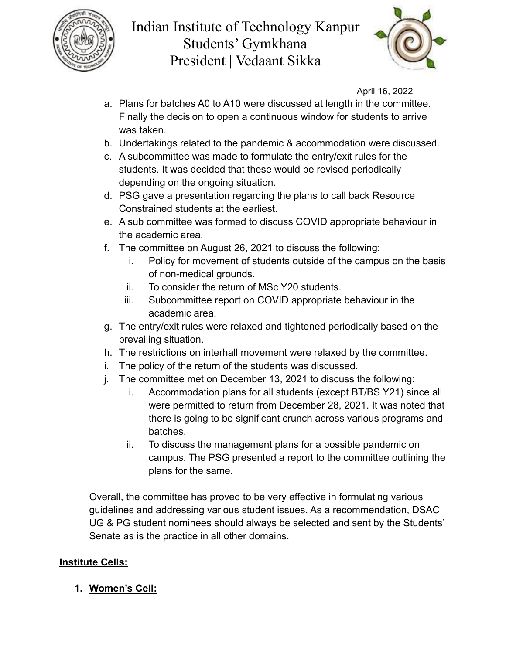



April 16, 2022

- a. Plans for batches A0 to A10 were discussed at length in the committee. Finally the decision to open a continuous window for students to arrive was taken.
- b. Undertakings related to the pandemic & accommodation were discussed.
- c. A subcommittee was made to formulate the entry/exit rules for the students. It was decided that these would be revised periodically depending on the ongoing situation.
- d. PSG gave a presentation regarding the plans to call back Resource Constrained students at the earliest.
- e. A sub committee was formed to discuss COVID appropriate behaviour in the academic area.
- f. The committee on August 26, 2021 to discuss the following:
	- i. Policy for movement of students outside of the campus on the basis of non-medical grounds.
	- ii. To consider the return of MSc Y20 students.
	- iii. Subcommittee report on COVID appropriate behaviour in the academic area.
- g. The entry/exit rules were relaxed and tightened periodically based on the prevailing situation.
- h. The restrictions on interhall movement were relaxed by the committee.
- i. The policy of the return of the students was discussed.
- j. The committee met on December 13, 2021 to discuss the following:
	- i. Accommodation plans for all students (except BT/BS Y21) since all were permitted to return from December 28, 2021. It was noted that there is going to be significant crunch across various programs and batches.
	- ii. To discuss the management plans for a possible pandemic on campus. The PSG presented a report to the committee outlining the plans for the same.

Overall, the committee has proved to be very effective in formulating various guidelines and addressing various student issues. As a recommendation, DSAC UG & PG student nominees should always be selected and sent by the Students' Senate as is the practice in all other domains.

## **Institute Cells:**

## **1. Women's Cell:**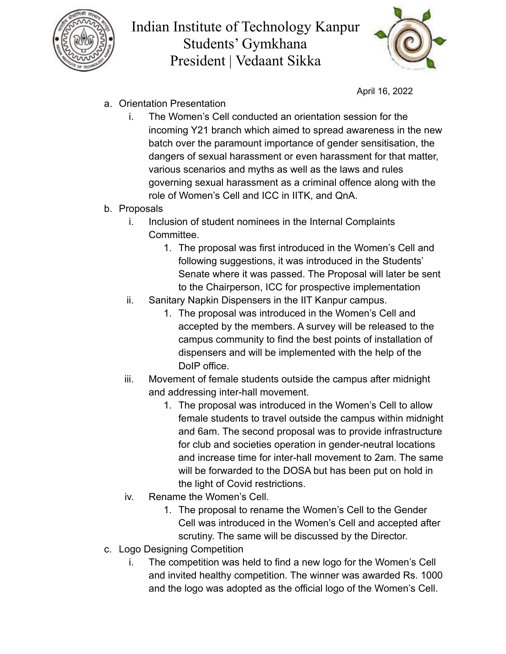



April 16, 2022

- a. Orientation Presentation
	- i. The Women's Cell conducted an orientation session for the incoming Y21 branch which aimed to spread awareness in the new batch over the paramount importance of gender sensitisation, the dangers of sexual harassment or even harassment for that matter, various scenarios and myths as well as the laws and rules governing sexual harassment as a criminal offence along with the role of Women's Cell and ICC in IITK, and QnA.
- b. Proposals
	- i. Inclusion of student nominees in the Internal Complaints Committee.
		- 1. The proposal was first introduced in the Women's Cell and following suggestions, it was introduced in the Students' Senate where it was passed. The Proposal will later be sent to the Chairperson, ICC for prospective implementation
	- ii. Sanitary Napkin Dispensers in the IIT Kanpur campus.
		- 1. The proposal was introduced in the Women's Cell and accepted by the members. A survey will be released to the campus community to find the best points of installation of dispensers and will be implemented with the help of the DoIP office.
	- iii. Movement of female students outside the campus after midnight and addressing inter-hall movement.
		- 1. The proposal was introduced in the Women's Cell to allow female students to travel outside the campus within midnight and 6am. The second proposal was to provide infrastructure for club and societies operation in gender-neutral locations and increase time for inter-hall movement to 2am. The same will be forwarded to the DOSA but has been put on hold in the light of Covid restrictions.
	- iv. Rename the Women's Cell.
		- 1. The proposal to rename the Women's Cell to the Gender Cell was introduced in the Women's Cell and accepted after scrutiny. The same will be discussed by the Director.
- c. Logo Designing Competition
	- i. The competition was held to find a new logo for the Women's Cell and invited healthy competition. The winner was awarded Rs. 1000 and the logo was adopted as the official logo of the Women's Cell.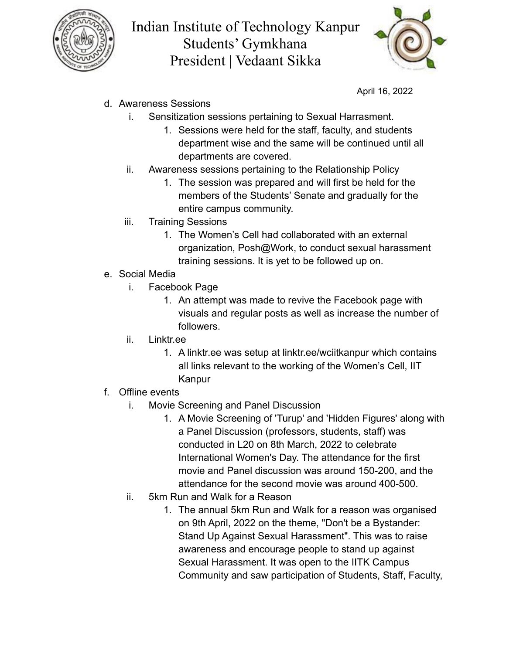



April 16, 2022

- d. Awareness Sessions
	- i. Sensitization sessions pertaining to Sexual Harrasment.
		- 1. Sessions were held for the staff, faculty, and students department wise and the same will be continued until all departments are covered.
	- ii. Awareness sessions pertaining to the Relationship Policy
		- 1. The session was prepared and will first be held for the members of the Students' Senate and gradually for the entire campus community.
	- iii. Training Sessions
		- 1. The Women's Cell had collaborated with an external organization, Posh@Work, to conduct sexual harassment training sessions. It is yet to be followed up on.
- e. Social Media
	- i. Facebook Page
		- 1. An attempt was made to revive the Facebook page with visuals and regular posts as well as increase the number of followers.
	- ii. Linktr.ee
		- 1. A linktr.ee was setup at linktr.ee/wciitkanpur which contains all links relevant to the working of the Women's Cell, IIT Kanpur
- f. Offline events
	- i. Movie Screening and Panel Discussion
		- 1. A Movie Screening of 'Turup' and 'Hidden Figures' along with a Panel Discussion (professors, students, staff) was conducted in L20 on 8th March, 2022 to celebrate International Women's Day. The attendance for the first movie and Panel discussion was around 150-200, and the attendance for the second movie was around 400-500.
	- ii. 5km Run and Walk for a Reason
		- 1. The annual 5km Run and Walk for a reason was organised on 9th April, 2022 on the theme, "Don't be a Bystander: Stand Up Against Sexual Harassment". This was to raise awareness and encourage people to stand up against Sexual Harassment. It was open to the IITK Campus Community and saw participation of Students, Staff, Faculty,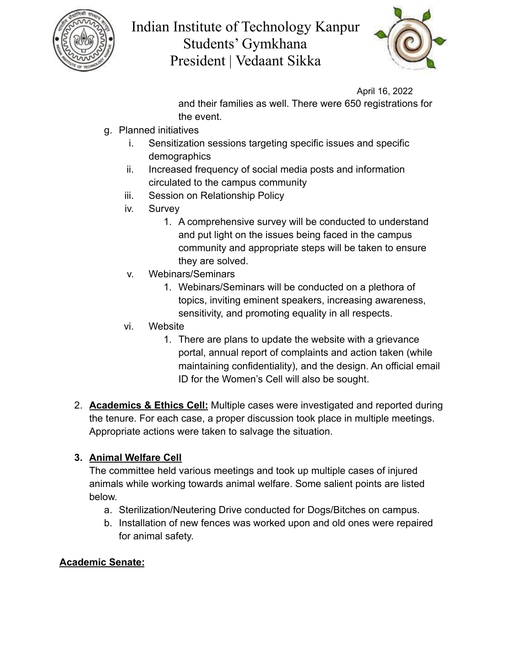



April 16, 2022

and their families as well. There were 650 registrations for the event.

- g. Planned initiatives
	- i. Sensitization sessions targeting specific issues and specific demographics
	- ii. Increased frequency of social media posts and information circulated to the campus community
	- iii. Session on Relationship Policy
	- iv. Survey
		- 1. A comprehensive survey will be conducted to understand and put light on the issues being faced in the campus community and appropriate steps will be taken to ensure they are solved.
	- v. Webinars/Seminars
		- 1. Webinars/Seminars will be conducted on a plethora of topics, inviting eminent speakers, increasing awareness, sensitivity, and promoting equality in all respects.
	- vi. Website
		- 1. There are plans to update the website with a grievance portal, annual report of complaints and action taken (while maintaining confidentiality), and the design. An official email ID for the Women's Cell will also be sought.
- 2. **Academics & Ethics Cell:** Multiple cases were investigated and reported during the tenure. For each case, a proper discussion took place in multiple meetings. Appropriate actions were taken to salvage the situation.

## **3. Animal Welfare Cell**

The committee held various meetings and took up multiple cases of injured animals while working towards animal welfare. Some salient points are listed below.

- a. Sterilization/Neutering Drive conducted for Dogs/Bitches on campus.
- b. Installation of new fences was worked upon and old ones were repaired for animal safety.

## **Academic Senate:**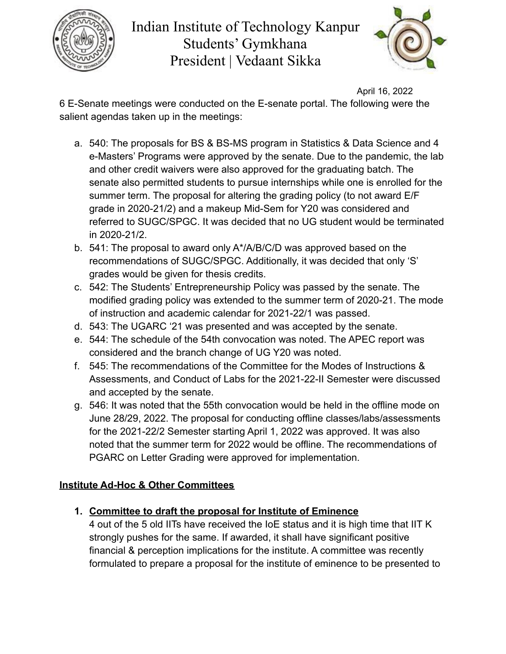



April 16, 2022

6 E-Senate meetings were conducted on the E-senate portal. The following were the salient agendas taken up in the meetings:

- a. 540: The proposals for BS & BS-MS program in Statistics & Data Science and 4 e-Masters' Programs were approved by the senate. Due to the pandemic, the lab and other credit waivers were also approved for the graduating batch. The senate also permitted students to pursue internships while one is enrolled for the summer term. The proposal for altering the grading policy (to not award E/F grade in 2020-21/2) and a makeup Mid-Sem for Y20 was considered and referred to SUGC/SPGC. It was decided that no UG student would be terminated in 2020-21/2.
- b. 541: The proposal to award only A\*/A/B/C/D was approved based on the recommendations of SUGC/SPGC. Additionally, it was decided that only 'S' grades would be given for thesis credits.
- c. 542: The Students' Entrepreneurship Policy was passed by the senate. The modified grading policy was extended to the summer term of 2020-21. The mode of instruction and academic calendar for 2021-22/1 was passed.
- d. 543: The UGARC '21 was presented and was accepted by the senate.
- e. 544: The schedule of the 54th convocation was noted. The APEC report was considered and the branch change of UG Y20 was noted.
- f. 545: The recommendations of the Committee for the Modes of Instructions & Assessments, and Conduct of Labs for the 2021-22-II Semester were discussed and accepted by the senate.
- g. 546: It was noted that the 55th convocation would be held in the offline mode on June 28/29, 2022. The proposal for conducting offline classes/labs/assessments for the 2021-22/2 Semester starting April 1, 2022 was approved. It was also noted that the summer term for 2022 would be offline. The recommendations of PGARC on Letter Grading were approved for implementation.

## **Institute Ad-Hoc & Other Committees**

**1. Committee to draft the proposal for Institute of Eminence**

4 out of the 5 old IITs have received the IoE status and it is high time that IIT K strongly pushes for the same. If awarded, it shall have significant positive financial & perception implications for the institute. A committee was recently formulated to prepare a proposal for the institute of eminence to be presented to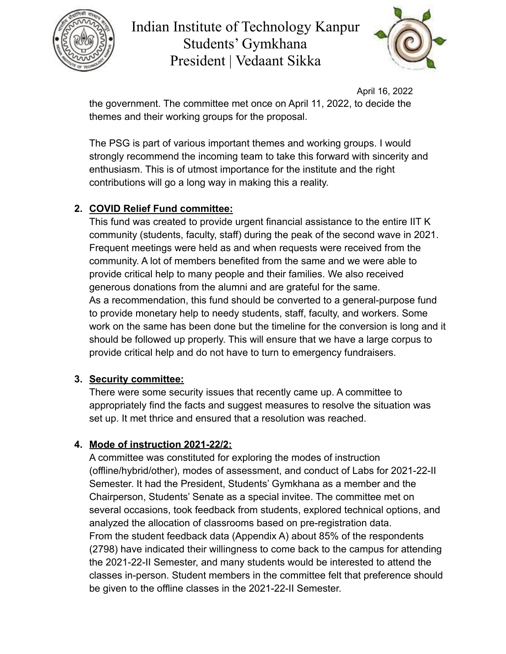



April 16, 2022 the government. The committee met once on April 11, 2022, to decide the themes and their working groups for the proposal.

The PSG is part of various important themes and working groups. I would strongly recommend the incoming team to take this forward with sincerity and enthusiasm. This is of utmost importance for the institute and the right contributions will go a long way in making this a reality.

#### **2. COVID Relief Fund committee:**

This fund was created to provide urgent financial assistance to the entire IIT K community (students, faculty, staff) during the peak of the second wave in 2021. Frequent meetings were held as and when requests were received from the community. A lot of members benefited from the same and we were able to provide critical help to many people and their families. We also received generous donations from the alumni and are grateful for the same. As a recommendation, this fund should be converted to a general-purpose fund to provide monetary help to needy students, staff, faculty, and workers. Some work on the same has been done but the timeline for the conversion is long and it should be followed up properly. This will ensure that we have a large corpus to provide critical help and do not have to turn to emergency fundraisers.

#### **3. Security committee:**

There were some security issues that recently came up. A committee to appropriately find the facts and suggest measures to resolve the situation was set up. It met thrice and ensured that a resolution was reached.

## **4. Mode of instruction 2021-22/2:**

A committee was constituted for exploring the modes of instruction (offline/hybrid/other), modes of assessment, and conduct of Labs for 2021-22-II Semester. It had the President, Students' Gymkhana as a member and the Chairperson, Students' Senate as a special invitee. The committee met on several occasions, took feedback from students, explored technical options, and analyzed the allocation of classrooms based on pre-registration data. From the student feedback data (Appendix A) about 85% of the respondents (2798) have indicated their willingness to come back to the campus for attending the 2021-22-II Semester, and many students would be interested to attend the classes in-person. Student members in the committee felt that preference should be given to the offline classes in the 2021-22-II Semester.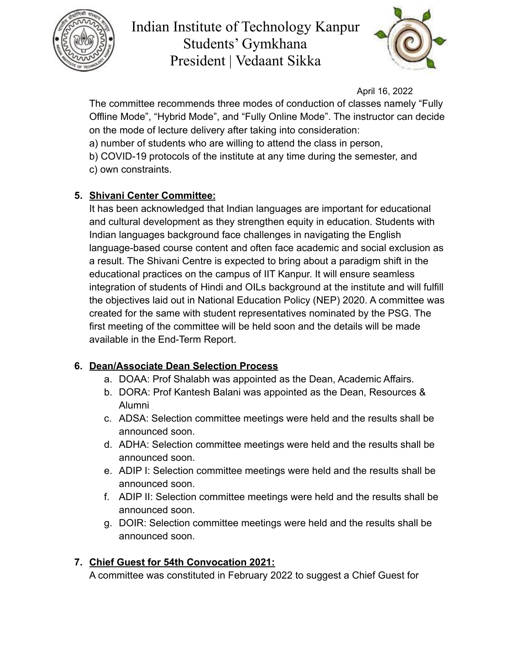



April 16, 2022

The committee recommends three modes of conduction of classes namely "Fully Offline Mode", "Hybrid Mode", and "Fully Online Mode". The instructor can decide on the mode of lecture delivery after taking into consideration:

a) number of students who are willing to attend the class in person,

b) COVID-19 protocols of the institute at any time during the semester, and c) own constraints.

## **5. Shivani Center Committee:**

It has been acknowledged that Indian languages are important for educational and cultural development as they strengthen equity in education. Students with Indian languages background face challenges in navigating the English language-based course content and often face academic and social exclusion as a result. The Shivani Centre is expected to bring about a paradigm shift in the educational practices on the campus of IIT Kanpur. It will ensure seamless integration of students of Hindi and OILs background at the institute and will fulfill the objectives laid out in National Education Policy (NEP) 2020. A committee was created for the same with student representatives nominated by the PSG. The first meeting of the committee will be held soon and the details will be made available in the End-Term Report.

## **6. Dean/Associate Dean Selection Process**

- a. DOAA: Prof Shalabh was appointed as the Dean, Academic Affairs.
- b. DORA: Prof Kantesh Balani was appointed as the Dean, Resources & Alumni
- c. ADSA: Selection committee meetings were held and the results shall be announced soon.
- d. ADHA: Selection committee meetings were held and the results shall be announced soon.
- e. ADIP I: Selection committee meetings were held and the results shall be announced soon.
- f. ADIP II: Selection committee meetings were held and the results shall be announced soon.
- g. DOIR: Selection committee meetings were held and the results shall be announced soon.

## **7. Chief Guest for 54th Convocation 2021:**

A committee was constituted in February 2022 to suggest a Chief Guest for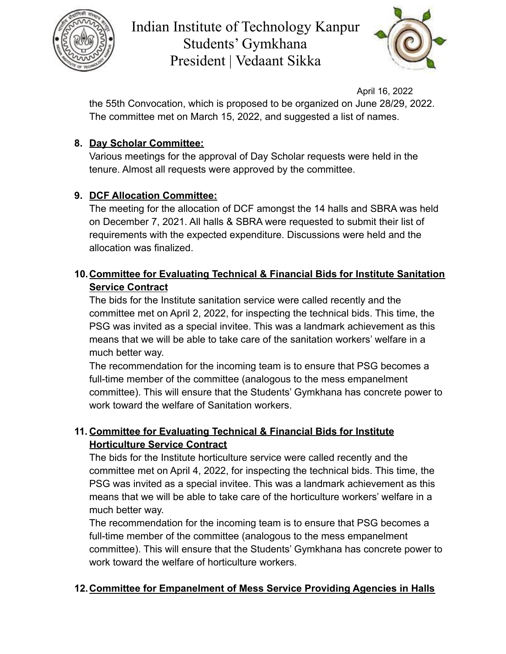



April 16, 2022

the 55th Convocation, which is proposed to be organized on June 28/29, 2022. The committee met on March 15, 2022, and suggested a list of names.

## **8. Day Scholar Committee:**

Various meetings for the approval of Day Scholar requests were held in the tenure. Almost all requests were approved by the committee.

## **9. DCF Allocation Committee:**

The meeting for the allocation of DCF amongst the 14 halls and SBRA was held on December 7, 2021. All halls & SBRA were requested to submit their list of requirements with the expected expenditure. Discussions were held and the allocation was finalized.

## **10.Committee for Evaluating Technical & Financial Bids for Institute Sanitation Service Contract**

The bids for the Institute sanitation service were called recently and the committee met on April 2, 2022, for inspecting the technical bids. This time, the PSG was invited as a special invitee. This was a landmark achievement as this means that we will be able to take care of the sanitation workers' welfare in a much better way.

The recommendation for the incoming team is to ensure that PSG becomes a full-time member of the committee (analogous to the mess empanelment committee). This will ensure that the Students' Gymkhana has concrete power to work toward the welfare of Sanitation workers.

## **11. Committee for Evaluating Technical & Financial Bids for Institute Horticulture Service Contract**

The bids for the Institute horticulture service were called recently and the committee met on April 4, 2022, for inspecting the technical bids. This time, the PSG was invited as a special invitee. This was a landmark achievement as this means that we will be able to take care of the horticulture workers' welfare in a much better way.

The recommendation for the incoming team is to ensure that PSG becomes a full-time member of the committee (analogous to the mess empanelment committee). This will ensure that the Students' Gymkhana has concrete power to work toward the welfare of horticulture workers.

## **12.Committee for Empanelment of Mess Service Providing Agencies in Halls**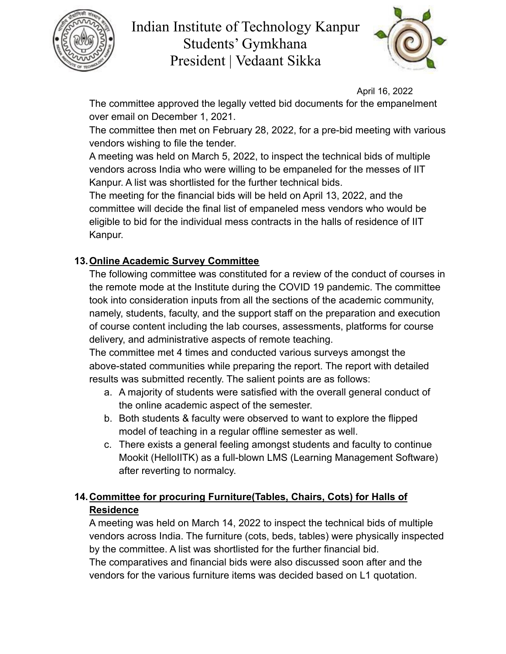



April 16, 2022

The committee approved the legally vetted bid documents for the empanelment over email on December 1, 2021.

The committee then met on February 28, 2022, for a pre-bid meeting with various vendors wishing to file the tender.

A meeting was held on March 5, 2022, to inspect the technical bids of multiple vendors across India who were willing to be empaneled for the messes of IIT Kanpur. A list was shortlisted for the further technical bids.

The meeting for the financial bids will be held on April 13, 2022, and the committee will decide the final list of empaneled mess vendors who would be eligible to bid for the individual mess contracts in the halls of residence of IIT Kanpur.

#### **13.Online Academic Survey Committee**

The following committee was constituted for a review of the conduct of courses in the remote mode at the Institute during the COVID 19 pandemic. The committee took into consideration inputs from all the sections of the academic community, namely, students, faculty, and the support staff on the preparation and execution of course content including the lab courses, assessments, platforms for course delivery, and administrative aspects of remote teaching.

The committee met 4 times and conducted various surveys amongst the above-stated communities while preparing the report. The report with detailed results was submitted recently. The salient points are as follows:

- a. A majority of students were satisfied with the overall general conduct of the online academic aspect of the semester.
- b. Both students & faculty were observed to want to explore the flipped model of teaching in a regular offline semester as well.
- c. There exists a general feeling amongst students and faculty to continue Mookit (HelloIITK) as a full-blown LMS (Learning Management Software) after reverting to normalcy.

## **14.Committee for procuring Furniture(Tables, Chairs, Cots) for Halls of Residence**

A meeting was held on March 14, 2022 to inspect the technical bids of multiple vendors across India. The furniture (cots, beds, tables) were physically inspected by the committee. A list was shortlisted for the further financial bid. The comparatives and financial bids were also discussed soon after and the vendors for the various furniture items was decided based on L1 quotation.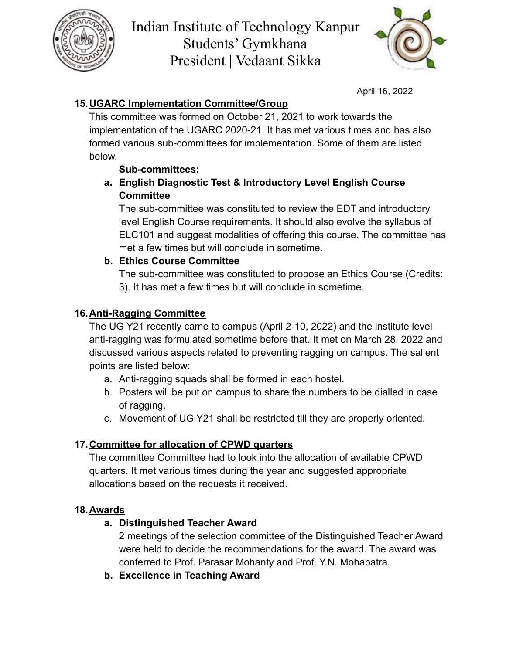



April 16, 2022

## **15.UGARC Implementation Committee/Group**

This committee was formed on October 21, 2021 to work towards the implementation of the UGARC 2020-21. It has met various times and has also formed various sub-committees for implementation. Some of them are listed below.

## **Sub-committees:**

#### **a. English Diagnostic Test & Introductory Level English Course Committee**

The sub-committee was constituted to review the EDT and introductory level English Course requirements. It should also evolve the syllabus of ELC101 and suggest modalities of offering this course. The committee has met a few times but will conclude in sometime.

#### **b. Ethics Course Committee**

The sub-committee was constituted to propose an Ethics Course (Credits: 3). It has met a few times but will conclude in sometime.

#### **16.Anti-Ragging Committee**

The UG Y21 recently came to campus (April 2-10, 2022) and the institute level anti-ragging was formulated sometime before that. It met on March 28, 2022 and discussed various aspects related to preventing ragging on campus. The salient points are listed below:

- a. Anti-ragging squads shall be formed in each hostel.
- b. Posters will be put on campus to share the numbers to be dialled in case of ragging.
- c. Movement of UG Y21 shall be restricted till they are properly oriented.

## **17.Committee for allocation of CPWD quarters**

The committee Committee had to look into the allocation of available CPWD quarters. It met various times during the year and suggested appropriate allocations based on the requests it received.

## **18.Awards**

## **a. Distinguished Teacher Award**

2 meetings of the selection committee of the Distinguished Teacher Award were held to decide the recommendations for the award. The award was conferred to Prof. Parasar Mohanty and Prof. Y.N. Mohapatra.

**b. Excellence in Teaching Award**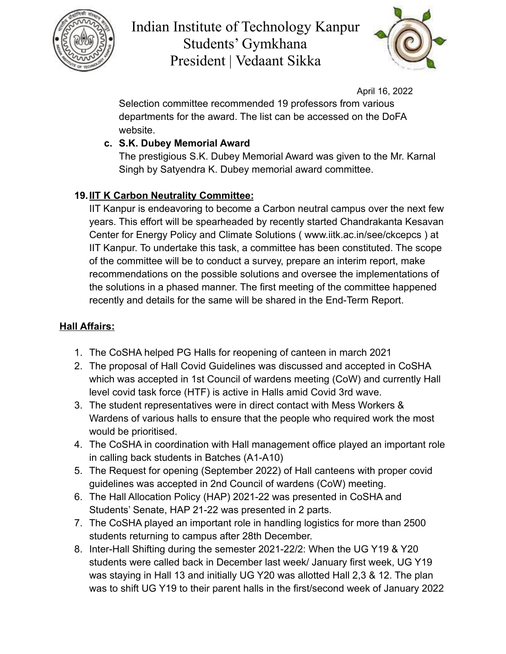



April 16, 2022

Selection committee recommended 19 professors from various departments for the award. The list can be accessed on the DoFA website.

## **c. S.K. Dubey Memorial Award**

The prestigious S.K. Dubey Memorial Award was given to the Mr. Karnal Singh by Satyendra K. Dubey memorial award committee.

## **19.IIT K Carbon Neutrality Committee:**

IIT Kanpur is endeavoring to become a Carbon neutral campus over the next few years. This effort will be spearheaded by recently started Chandrakanta Kesavan Center for Energy Policy and Climate Solutions ( www.iitk.ac.in/see/ckcepcs ) at IIT Kanpur. To undertake this task, a committee has been constituted. The scope of the committee will be to conduct a survey, prepare an interim report, make recommendations on the possible solutions and oversee the implementations of the solutions in a phased manner. The first meeting of the committee happened recently and details for the same will be shared in the End-Term Report.

## **Hall Affairs:**

- 1. The CoSHA helped PG Halls for reopening of canteen in march 2021
- 2. The proposal of Hall Covid Guidelines was discussed and accepted in CoSHA which was accepted in 1st Council of wardens meeting (CoW) and currently Hall level covid task force (HTF) is active in Halls amid Covid 3rd wave.
- 3. The student representatives were in direct contact with Mess Workers & Wardens of various halls to ensure that the people who required work the most would be prioritised.
- 4. The CoSHA in coordination with Hall management office played an important role in calling back students in Batches (A1-A10)
- 5. The Request for opening (September 2022) of Hall canteens with proper covid guidelines was accepted in 2nd Council of wardens (CoW) meeting.
- 6. The Hall Allocation Policy (HAP) 2021-22 was presented in CoSHA and Students' Senate, HAP 21-22 was presented in 2 parts.
- 7. The CoSHA played an important role in handling logistics for more than 2500 students returning to campus after 28th December.
- 8. Inter-Hall Shifting during the semester 2021-22/2: When the UG Y19 & Y20 students were called back in December last week/ January first week, UG Y19 was staying in Hall 13 and initially UG Y20 was allotted Hall 2,3 & 12. The plan was to shift UG Y19 to their parent halls in the first/second week of January 2022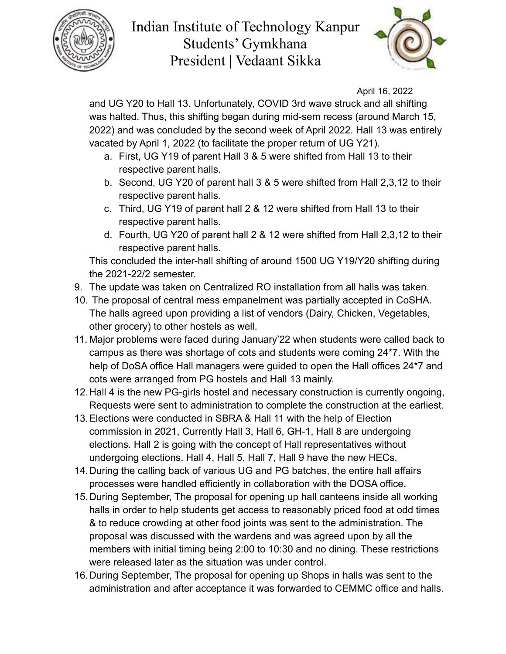



April 16, 2022

and UG Y20 to Hall 13. Unfortunately, COVID 3rd wave struck and all shifting was halted. Thus, this shifting began during mid-sem recess (around March 15, 2022) and was concluded by the second week of April 2022. Hall 13 was entirely vacated by April 1, 2022 (to facilitate the proper return of UG Y21).

- a. First, UG Y19 of parent Hall 3 & 5 were shifted from Hall 13 to their respective parent halls.
- b. Second, UG Y20 of parent hall 3 & 5 were shifted from Hall 2,3,12 to their respective parent halls.
- c. Third, UG Y19 of parent hall 2 & 12 were shifted from Hall 13 to their respective parent halls.
- d. Fourth, UG Y20 of parent hall 2 & 12 were shifted from Hall 2,3,12 to their respective parent halls.

This concluded the inter-hall shifting of around 1500 UG Y19/Y20 shifting during the 2021-22/2 semester.

- 9. The update was taken on Centralized RO installation from all halls was taken.
- 10. The proposal of central mess empanelment was partially accepted in CoSHA. The halls agreed upon providing a list of vendors (Dairy, Chicken, Vegetables, other grocery) to other hostels as well.
- 11. Major problems were faced during January'22 when students were called back to campus as there was shortage of cots and students were coming 24\*7. With the help of DoSA office Hall managers were guided to open the Hall offices 24\*7 and cots were arranged from PG hostels and Hall 13 mainly.
- 12.Hall 4 is the new PG-girls hostel and necessary construction is currently ongoing, Requests were sent to administration to complete the construction at the earliest.
- 13.Elections were conducted in SBRA & Hall 11 with the help of Election commission in 2021, Currently Hall 3, Hall 6, GH-1, Hall 8 are undergoing elections. Hall 2 is going with the concept of Hall representatives without undergoing elections. Hall 4, Hall 5, Hall 7, Hall 9 have the new HECs.
- 14.During the calling back of various UG and PG batches, the entire hall affairs processes were handled efficiently in collaboration with the DOSA office.
- 15.During September, The proposal for opening up hall canteens inside all working halls in order to help students get access to reasonably priced food at odd times & to reduce crowding at other food joints was sent to the administration. The proposal was discussed with the wardens and was agreed upon by all the members with initial timing being 2:00 to 10:30 and no dining. These restrictions were released later as the situation was under control.
- 16.During September, The proposal for opening up Shops in halls was sent to the administration and after acceptance it was forwarded to CEMMC office and halls.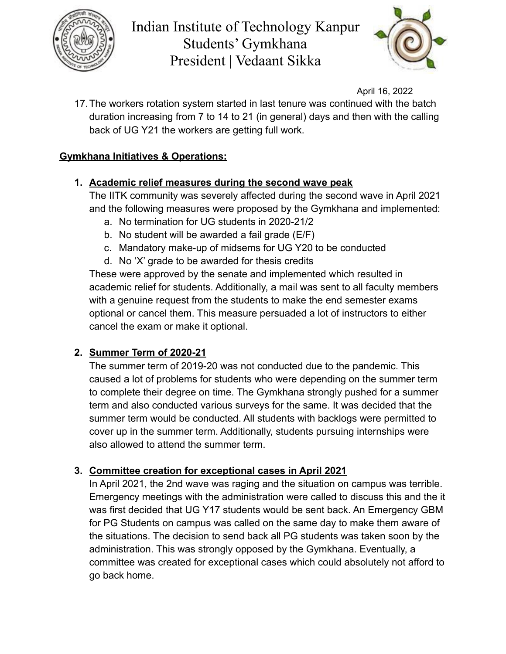



April 16, 2022

17.The workers rotation system started in last tenure was continued with the batch duration increasing from 7 to 14 to 21 (in general) days and then with the calling back of UG Y21 the workers are getting full work.

## **Gymkhana Initiatives & Operations:**

#### **1. Academic relief measures during the second wave peak**

The IITK community was severely affected during the second wave in April 2021 and the following measures were proposed by the Gymkhana and implemented:

- a. No termination for UG students in 2020-21/2
- b. No student will be awarded a fail grade (E/F)
- c. Mandatory make-up of midsems for UG Y20 to be conducted
- d. No 'X' grade to be awarded for thesis credits

These were approved by the senate and implemented which resulted in academic relief for students. Additionally, a mail was sent to all faculty members with a genuine request from the students to make the end semester exams optional or cancel them. This measure persuaded a lot of instructors to either cancel the exam or make it optional.

## **2. Summer Term of 2020-21**

The summer term of 2019-20 was not conducted due to the pandemic. This caused a lot of problems for students who were depending on the summer term to complete their degree on time. The Gymkhana strongly pushed for a summer term and also conducted various surveys for the same. It was decided that the summer term would be conducted. All students with backlogs were permitted to cover up in the summer term. Additionally, students pursuing internships were also allowed to attend the summer term.

#### **3. Committee creation for exceptional cases in April 2021**

In April 2021, the 2nd wave was raging and the situation on campus was terrible. Emergency meetings with the administration were called to discuss this and the it was first decided that UG Y17 students would be sent back. An Emergency GBM for PG Students on campus was called on the same day to make them aware of the situations. The decision to send back all PG students was taken soon by the administration. This was strongly opposed by the Gymkhana. Eventually, a committee was created for exceptional cases which could absolutely not afford to go back home.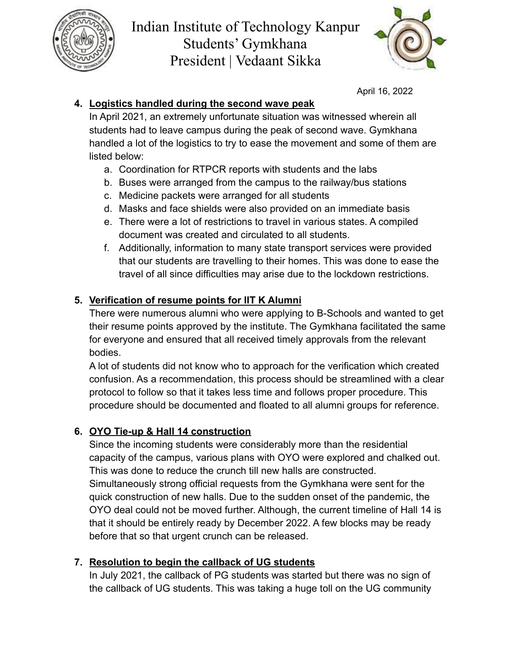



April 16, 2022

## **4. Logistics handled during the second wave peak**

In April 2021, an extremely unfortunate situation was witnessed wherein all students had to leave campus during the peak of second wave. Gymkhana handled a lot of the logistics to try to ease the movement and some of them are listed below:

- a. Coordination for RTPCR reports with students and the labs
- b. Buses were arranged from the campus to the railway/bus stations
- c. Medicine packets were arranged for all students
- d. Masks and face shields were also provided on an immediate basis
- e. There were a lot of restrictions to travel in various states. A compiled document was created and circulated to all students.
- f. Additionally, information to many state transport services were provided that our students are travelling to their homes. This was done to ease the travel of all since difficulties may arise due to the lockdown restrictions.

## **5. Verification of resume points for IIT K Alumni**

There were numerous alumni who were applying to B-Schools and wanted to get their resume points approved by the institute. The Gymkhana facilitated the same for everyone and ensured that all received timely approvals from the relevant bodies.

A lot of students did not know who to approach for the verification which created confusion. As a recommendation, this process should be streamlined with a clear protocol to follow so that it takes less time and follows proper procedure. This procedure should be documented and floated to all alumni groups for reference.

## **6. OYO Tie-up & Hall 14 construction**

Since the incoming students were considerably more than the residential capacity of the campus, various plans with OYO were explored and chalked out. This was done to reduce the crunch till new halls are constructed. Simultaneously strong official requests from the Gymkhana were sent for the quick construction of new halls. Due to the sudden onset of the pandemic, the OYO deal could not be moved further. Although, the current timeline of Hall 14 is that it should be entirely ready by December 2022. A few blocks may be ready before that so that urgent crunch can be released.

## **7. Resolution to begin the callback of UG students**

In July 2021, the callback of PG students was started but there was no sign of the callback of UG students. This was taking a huge toll on the UG community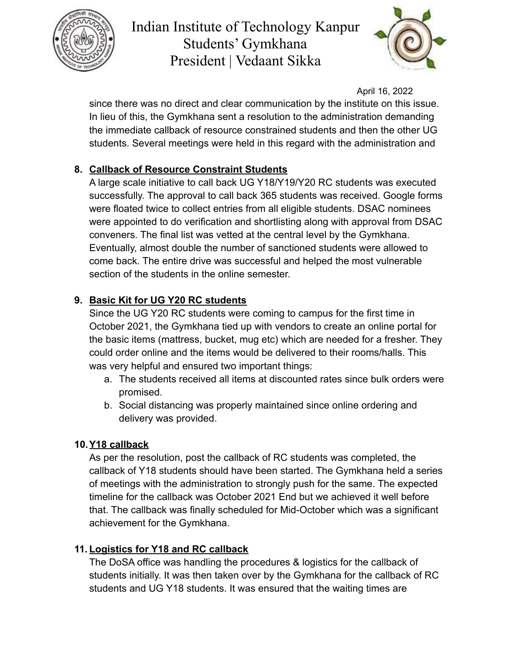



April 16, 2022

since there was no direct and clear communication by the institute on this issue. In lieu of this, the Gymkhana sent a resolution to the administration demanding the immediate callback of resource constrained students and then the other UG students. Several meetings were held in this regard with the administration and

## **8. Callback of Resource Constraint Students**

A large scale initiative to call back UG Y18/Y19/Y20 RC students was executed successfully. The approval to call back 365 students was received. Google forms were floated twice to collect entries from all eligible students. DSAC nominees were appointed to do verification and shortlisting along with approval from DSAC conveners. The final list was vetted at the central level by the Gymkhana. Eventually, almost double the number of sanctioned students were allowed to come back. The entire drive was successful and helped the most vulnerable section of the students in the online semester.

## **9. Basic Kit for UG Y20 RC students**

Since the UG Y20 RC students were coming to campus for the first time in October 2021, the Gymkhana tied up with vendors to create an online portal for the basic items (mattress, bucket, mug etc) which are needed for a fresher. They could order online and the items would be delivered to their rooms/halls. This was very helpful and ensured two important things:

- a. The students received all items at discounted rates since bulk orders were promised.
- b. Social distancing was properly maintained since online ordering and delivery was provided.

#### **10.Y18 callback**

As per the resolution, post the callback of RC students was completed, the callback of Y18 students should have been started. The Gymkhana held a series of meetings with the administration to strongly push for the same. The expected timeline for the callback was October 2021 End but we achieved it well before that. The callback was finally scheduled for Mid-October which was a significant achievement for the Gymkhana.

#### **11. Logistics for Y18 and RC callback**

The DoSA office was handling the procedures & logistics for the callback of students initially. It was then taken over by the Gymkhana for the callback of RC students and UG Y18 students. It was ensured that the waiting times are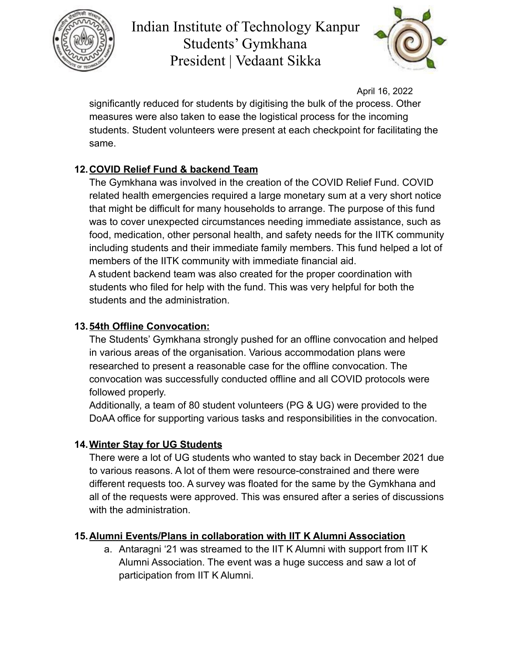



April 16, 2022

significantly reduced for students by digitising the bulk of the process. Other measures were also taken to ease the logistical process for the incoming students. Student volunteers were present at each checkpoint for facilitating the same.

## **12.COVID Relief Fund & backend Team**

The Gymkhana was involved in the creation of the COVID Relief Fund. COVID related health emergencies required a large monetary sum at a very short notice that might be difficult for many households to arrange. The purpose of this fund was to cover unexpected circumstances needing immediate assistance, such as food, medication, other personal health, and safety needs for the IITK community including students and their immediate family members. This fund helped a lot of members of the IITK community with immediate financial aid.

A student backend team was also created for the proper coordination with students who filed for help with the fund. This was very helpful for both the students and the administration.

## **13.54th Offline Convocation:**

The Students' Gymkhana strongly pushed for an offline convocation and helped in various areas of the organisation. Various accommodation plans were researched to present a reasonable case for the offline convocation. The convocation was successfully conducted offline and all COVID protocols were followed properly.

Additionally, a team of 80 student volunteers (PG & UG) were provided to the DoAA office for supporting various tasks and responsibilities in the convocation.

## **14.Winter Stay for UG Students**

There were a lot of UG students who wanted to stay back in December 2021 due to various reasons. A lot of them were resource-constrained and there were different requests too. A survey was floated for the same by the Gymkhana and all of the requests were approved. This was ensured after a series of discussions with the administration.

## **15.Alumni Events/Plans in collaboration with IIT K Alumni Association**

a. Antaragni '21 was streamed to the IIT K Alumni with support from IIT K Alumni Association. The event was a huge success and saw a lot of participation from IIT K Alumni.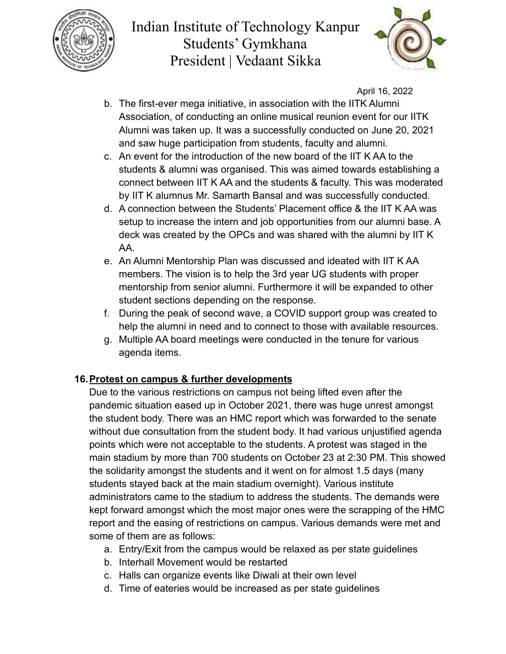



April 16, 2022

- b. The first-ever mega initiative, in association with the IITK Alumni Association, of conducting an online musical reunion event for our IITK Alumni was taken up. It was a successfully conducted on June 20, 2021 and saw huge participation from students, faculty and alumni.
- c. An event for the introduction of the new board of the IIT K AA to the students & alumni was organised. This was aimed towards establishing a connect between IIT K AA and the students & faculty. This was moderated by IIT K alumnus Mr. Samarth Bansal and was successfully conducted.
- d. A connection between the Students' Placement office & the IIT K AA was setup to increase the intern and job opportunities from our alumni base. A deck was created by the OPCs and was shared with the alumni by IIT K AA.
- e. An Alumni Mentorship Plan was discussed and ideated with IIT K AA members. The vision is to help the 3rd year UG students with proper mentorship from senior alumni. Furthermore it will be expanded to other student sections depending on the response.
- f. During the peak of second wave, a COVID support group was created to help the alumni in need and to connect to those with available resources.
- g. Multiple AA board meetings were conducted in the tenure for various agenda items.

#### **16.Protest on campus & further developments**

Due to the various restrictions on campus not being lifted even after the pandemic situation eased up in October 2021, there was huge unrest amongst the student body. There was an HMC report which was forwarded to the senate without due consultation from the student body. It had various unjustified agenda points which were not acceptable to the students. A protest was staged in the main stadium by more than 700 students on October 23 at 2:30 PM. This showed the solidarity amongst the students and it went on for almost 1.5 days (many students stayed back at the main stadium overnight). Various institute administrators came to the stadium to address the students. The demands were kept forward amongst which the most major ones were the scrapping of the HMC report and the easing of restrictions on campus. Various demands were met and some of them are as follows:

- a. Entry/Exit from the campus would be relaxed as per state guidelines
- b. Interhall Movement would be restarted
- c. Halls can organize events like Diwali at their own level
- d. Time of eateries would be increased as per state guidelines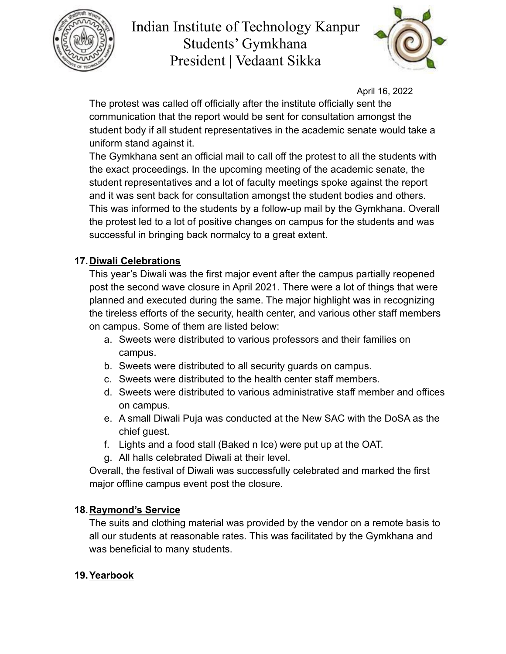



April 16, 2022

The protest was called off officially after the institute officially sent the communication that the report would be sent for consultation amongst the student body if all student representatives in the academic senate would take a uniform stand against it.

The Gymkhana sent an official mail to call off the protest to all the students with the exact proceedings. In the upcoming meeting of the academic senate, the student representatives and a lot of faculty meetings spoke against the report and it was sent back for consultation amongst the student bodies and others. This was informed to the students by a follow-up mail by the Gymkhana. Overall the protest led to a lot of positive changes on campus for the students and was successful in bringing back normalcy to a great extent.

#### **17.Diwali Celebrations**

This year's Diwali was the first major event after the campus partially reopened post the second wave closure in April 2021. There were a lot of things that were planned and executed during the same. The major highlight was in recognizing the tireless efforts of the security, health center, and various other staff members on campus. Some of them are listed below:

- a. Sweets were distributed to various professors and their families on campus.
- b. Sweets were distributed to all security guards on campus.
- c. Sweets were distributed to the health center staff members.
- d. Sweets were distributed to various administrative staff member and offices on campus.
- e. A small Diwali Puja was conducted at the New SAC with the DoSA as the chief guest.
- f. Lights and a food stall (Baked n Ice) were put up at the OAT.
- g. All halls celebrated Diwali at their level.

Overall, the festival of Diwali was successfully celebrated and marked the first major offline campus event post the closure.

#### **18.Raymond's Service**

The suits and clothing material was provided by the vendor on a remote basis to all our students at reasonable rates. This was facilitated by the Gymkhana and was beneficial to many students.

## **19.Yearbook**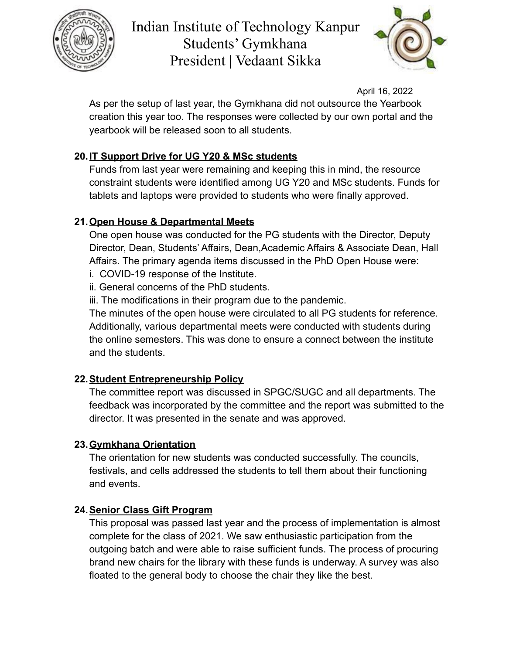



April 16, 2022

As per the setup of last year, the Gymkhana did not outsource the Yearbook creation this year too. The responses were collected by our own portal and the yearbook will be released soon to all students.

## **20.IT Support Drive for UG Y20 & MSc students**

Funds from last year were remaining and keeping this in mind, the resource constraint students were identified among UG Y20 and MSc students. Funds for tablets and laptops were provided to students who were finally approved.

## **21.Open House & Departmental Meets**

One open house was conducted for the PG students with the Director, Deputy Director, Dean, Students' Affairs, Dean,Academic Affairs & Associate Dean, Hall Affairs. The primary agenda items discussed in the PhD Open House were:

- i. COVID-19 response of the Institute.
- ii. General concerns of the PhD students.

iii. The modifications in their program due to the pandemic.

The minutes of the open house were circulated to all PG students for reference. Additionally, various departmental meets were conducted with students during the online semesters. This was done to ensure a connect between the institute and the students.

## **22.Student Entrepreneurship Policy**

The committee report was discussed in SPGC/SUGC and all departments. The feedback was incorporated by the committee and the report was submitted to the director. It was presented in the senate and was approved.

## **23.Gymkhana Orientation**

The orientation for new students was conducted successfully. The councils, festivals, and cells addressed the students to tell them about their functioning and events.

## **24.Senior Class Gift Program**

This proposal was passed last year and the process of implementation is almost complete for the class of 2021. We saw enthusiastic participation from the outgoing batch and were able to raise sufficient funds. The process of procuring brand new chairs for the library with these funds is underway. A survey was also floated to the general body to choose the chair they like the best.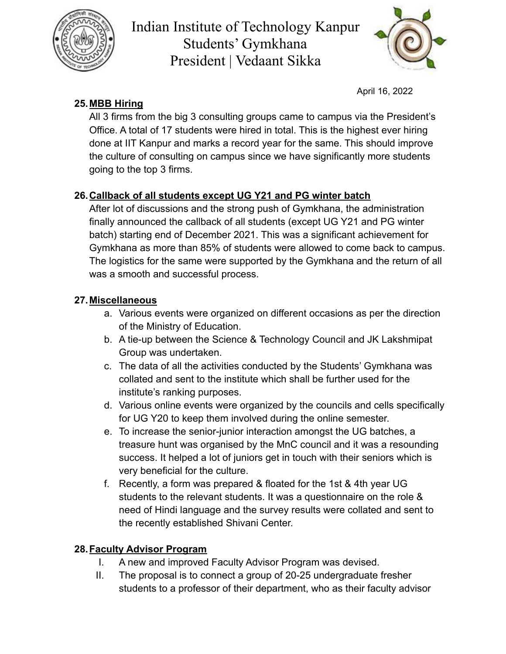



April 16, 2022

## **25.MBB Hiring**

All 3 firms from the big 3 consulting groups came to campus via the President's Office. A total of 17 students were hired in total. This is the highest ever hiring done at IIT Kanpur and marks a record year for the same. This should improve the culture of consulting on campus since we have significantly more students going to the top 3 firms.

## **26.Callback of all students except UG Y21 and PG winter batch**

After lot of discussions and the strong push of Gymkhana, the administration finally announced the callback of all students (except UG Y21 and PG winter batch) starting end of December 2021. This was a significant achievement for Gymkhana as more than 85% of students were allowed to come back to campus. The logistics for the same were supported by the Gymkhana and the return of all was a smooth and successful process.

## **27.Miscellaneous**

- a. Various events were organized on different occasions as per the direction of the Ministry of Education.
- b. A tie-up between the Science & Technology Council and JK Lakshmipat Group was undertaken.
- c. The data of all the activities conducted by the Students' Gymkhana was collated and sent to the institute which shall be further used for the institute's ranking purposes.
- d. Various online events were organized by the councils and cells specifically for UG Y20 to keep them involved during the online semester.
- e. To increase the senior-junior interaction amongst the UG batches, a treasure hunt was organised by the MnC council and it was a resounding success. It helped a lot of juniors get in touch with their seniors which is very beneficial for the culture.
- f. Recently, a form was prepared & floated for the 1st & 4th year UG students to the relevant students. It was a questionnaire on the role & need of Hindi language and the survey results were collated and sent to the recently established Shivani Center.

## **28.Faculty Advisor Program**

- I. A new and improved Faculty Advisor Program was devised.
- II. The proposal is to connect a group of 20-25 undergraduate fresher students to a professor of their department, who as their faculty advisor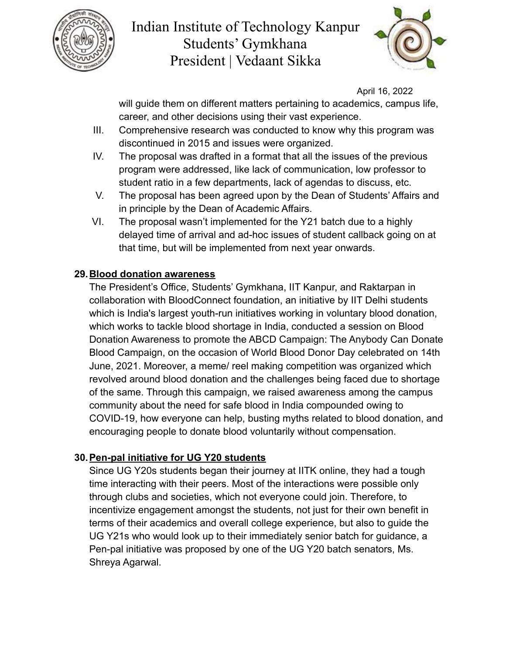



April 16, 2022

will guide them on different matters pertaining to academics, campus life, career, and other decisions using their vast experience.

- III. Comprehensive research was conducted to know why this program was discontinued in 2015 and issues were organized.
- IV. The proposal was drafted in a format that all the issues of the previous program were addressed, like lack of communication, low professor to student ratio in a few departments, lack of agendas to discuss, etc.
- V. The proposal has been agreed upon by the Dean of Students' Affairs and in principle by the Dean of Academic Affairs.
- VI. The proposal wasn't implemented for the Y21 batch due to a highly delayed time of arrival and ad-hoc issues of student callback going on at that time, but will be implemented from next year onwards.

#### **29.Blood donation awareness**

The President's Office, Students' Gymkhana, IIT Kanpur, and Raktarpan in collaboration with BloodConnect foundation, an initiative by IIT Delhi students which is India's largest youth-run initiatives working in voluntary blood donation, which works to tackle blood shortage in India, conducted a session on Blood Donation Awareness to promote the ABCD Campaign: The Anybody Can Donate Blood Campaign, on the occasion of World Blood Donor Day celebrated on 14th June, 2021. Moreover, a meme/ reel making competition was organized which revolved around blood donation and the challenges being faced due to shortage of the same. Through this campaign, we raised awareness among the campus community about the need for safe blood in India compounded owing to COVID-19, how everyone can help, busting myths related to blood donation, and encouraging people to donate blood voluntarily without compensation.

#### **30.Pen-pal initiative for UG Y20 students**

Since UG Y20s students began their journey at IITK online, they had a tough time interacting with their peers. Most of the interactions were possible only through clubs and societies, which not everyone could join. Therefore, to incentivize engagement amongst the students, not just for their own benefit in terms of their academics and overall college experience, but also to guide the UG Y21s who would look up to their immediately senior batch for guidance, a Pen-pal initiative was proposed by one of the UG Y20 batch senators, Ms. Shreya Agarwal.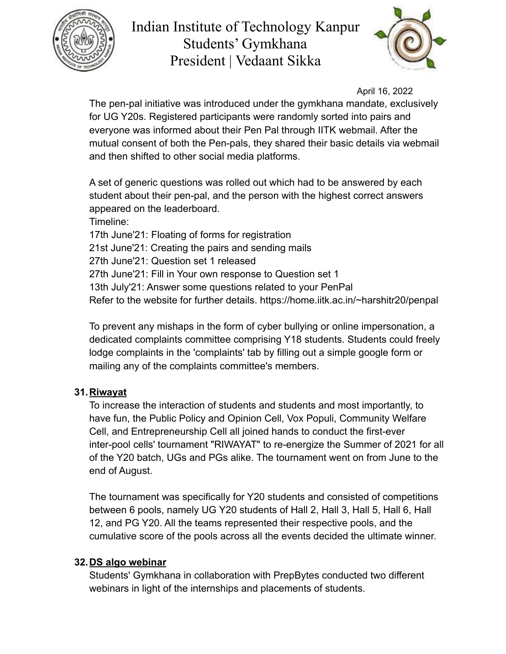



April 16, 2022

The pen-pal initiative was introduced under the gymkhana mandate, exclusively for UG Y20s. Registered participants were randomly sorted into pairs and everyone was informed about their Pen Pal through IITK webmail. After the mutual consent of both the Pen-pals, they shared their basic details via webmail and then shifted to other social media platforms.

A set of generic questions was rolled out which had to be answered by each student about their pen-pal, and the person with the highest correct answers appeared on the leaderboard. Timeline: 17th June'21: Floating of forms for registration 21st June'21: Creating the pairs and sending mails 27th June'21: Question set 1 released 27th June'21: Fill in Your own response to Question set 1 13th July'21: Answer some questions related to your PenPal Refer to the website for further details. https://home.iitk.ac.in/~harshitr20/penpal

To prevent any mishaps in the form of cyber bullying or online impersonation, a dedicated complaints committee comprising Y18 students. Students could freely lodge complaints in the 'complaints' tab by filling out a simple google form or mailing any of the complaints committee's members.

#### **31.Riwayat**

To increase the interaction of students and students and most importantly, to have fun, the Public Policy and Opinion Cell, Vox Populi, Community Welfare Cell, and Entrepreneurship Cell all joined hands to conduct the first-ever inter-pool cells' tournament "RIWAYAT" to re-energize the Summer of 2021 for all of the Y20 batch, UGs and PGs alike. The tournament went on from June to the end of August.

The tournament was specifically for Y20 students and consisted of competitions between 6 pools, namely UG Y20 students of Hall 2, Hall 3, Hall 5, Hall 6, Hall 12, and PG Y20. All the teams represented their respective pools, and the cumulative score of the pools across all the events decided the ultimate winner.

#### **32.DS algo webinar**

Students' Gymkhana in collaboration with PrepBytes conducted two different webinars in light of the internships and placements of students.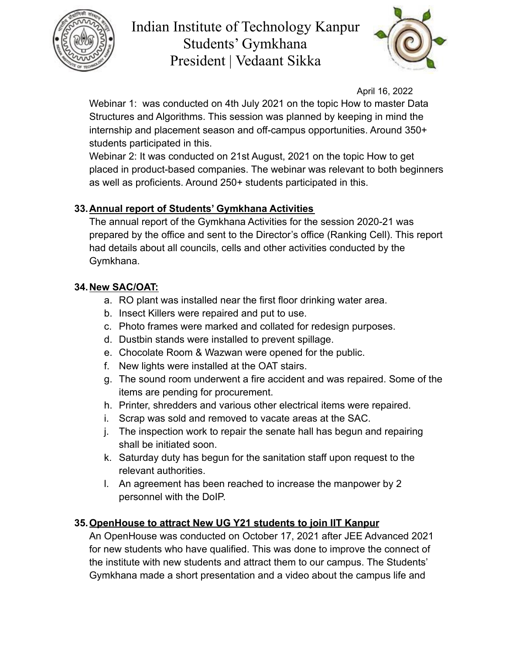



April 16, 2022

Webinar 1: was conducted on 4th July 2021 on the topic How to master Data Structures and Algorithms. This session was planned by keeping in mind the internship and placement season and off-campus opportunities. Around 350+ students participated in this.

Webinar 2: It was conducted on 21st August, 2021 on the topic How to get placed in product-based companies. The webinar was relevant to both beginners as well as proficients. Around 250+ students participated in this.

## **33.Annual report of Students' Gymkhana Activities**

The annual report of the Gymkhana Activities for the session 2020-21 was prepared by the office and sent to the Director's office (Ranking Cell). This report had details about all councils, cells and other activities conducted by the Gymkhana.

## **34.New SAC/OAT:**

- a. RO plant was installed near the first floor drinking water area.
- b. Insect Killers were repaired and put to use.
- c. Photo frames were marked and collated for redesign purposes.
- d. Dustbin stands were installed to prevent spillage.
- e. Chocolate Room & Wazwan were opened for the public.
- f. New lights were installed at the OAT stairs.
- g. The sound room underwent a fire accident and was repaired. Some of the items are pending for procurement.
- h. Printer, shredders and various other electrical items were repaired.
- i. Scrap was sold and removed to vacate areas at the SAC.
- j. The inspection work to repair the senate hall has begun and repairing shall be initiated soon.
- k. Saturday duty has begun for the sanitation staff upon request to the relevant authorities.
- l. An agreement has been reached to increase the manpower by 2 personnel with the DoIP.

## **35.OpenHouse to attract New UG Y21 students to join IIT Kanpur**

An OpenHouse was conducted on October 17, 2021 after JEE Advanced 2021 for new students who have qualified. This was done to improve the connect of the institute with new students and attract them to our campus. The Students' Gymkhana made a short presentation and a video about the campus life and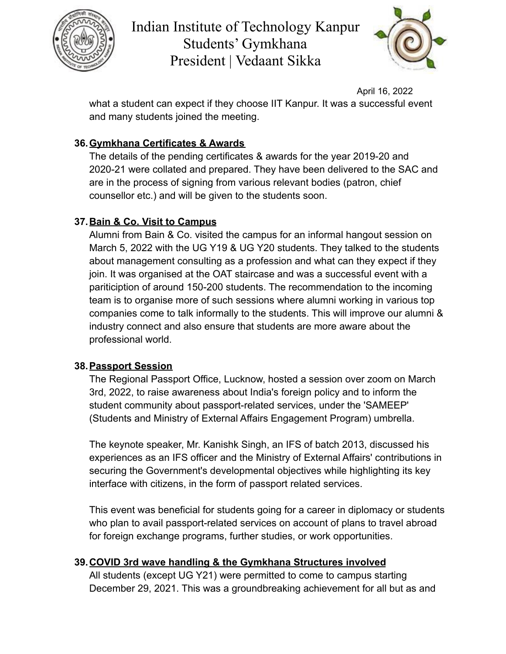



April 16, 2022

what a student can expect if they choose IIT Kanpur. It was a successful event and many students joined the meeting.

## **36.Gymkhana Certificates & Awards**

The details of the pending certificates & awards for the year 2019-20 and 2020-21 were collated and prepared. They have been delivered to the SAC and are in the process of signing from various relevant bodies (patron, chief counsellor etc.) and will be given to the students soon.

## **37.Bain & Co. Visit to Campus**

Alumni from Bain & Co. visited the campus for an informal hangout session on March 5, 2022 with the UG Y19 & UG Y20 students. They talked to the students about management consulting as a profession and what can they expect if they join. It was organised at the OAT staircase and was a successful event with a pariticiption of around 150-200 students. The recommendation to the incoming team is to organise more of such sessions where alumni working in various top companies come to talk informally to the students. This will improve our alumni & industry connect and also ensure that students are more aware about the professional world.

## **38.Passport Session**

The Regional Passport Office, Lucknow, hosted a session over zoom on March 3rd, 2022, to raise awareness about India's foreign policy and to inform the student community about passport-related services, under the 'SAMEEP' (Students and Ministry of External Affairs Engagement Program) umbrella.

The keynote speaker, Mr. Kanishk Singh, an IFS of batch 2013, discussed his experiences as an IFS officer and the Ministry of External Affairs' contributions in securing the Government's developmental objectives while highlighting its key interface with citizens, in the form of passport related services.

This event was beneficial for students going for a career in diplomacy or students who plan to avail passport-related services on account of plans to travel abroad for foreign exchange programs, further studies, or work opportunities.

## **39.COVID 3rd wave handling & the Gymkhana Structures involved**

All students (except UG Y21) were permitted to come to campus starting December 29, 2021. This was a groundbreaking achievement for all but as and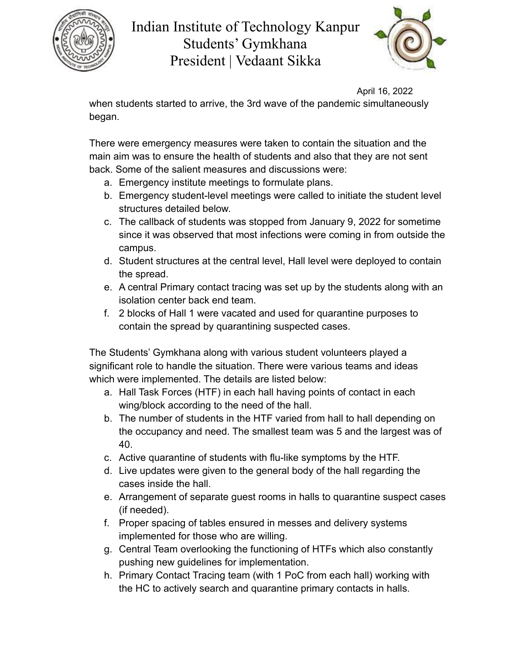



April 16, 2022

when students started to arrive, the 3rd wave of the pandemic simultaneously began.

There were emergency measures were taken to contain the situation and the main aim was to ensure the health of students and also that they are not sent back. Some of the salient measures and discussions were:

- a. Emergency institute meetings to formulate plans.
- b. Emergency student-level meetings were called to initiate the student level structures detailed below.
- c. The callback of students was stopped from January 9, 2022 for sometime since it was observed that most infections were coming in from outside the campus.
- d. Student structures at the central level, Hall level were deployed to contain the spread.
- e. A central Primary contact tracing was set up by the students along with an isolation center back end team.
- f. 2 blocks of Hall 1 were vacated and used for quarantine purposes to contain the spread by quarantining suspected cases.

The Students' Gymkhana along with various student volunteers played a significant role to handle the situation. There were various teams and ideas which were implemented. The details are listed below:

- a. Hall Task Forces (HTF) in each hall having points of contact in each wing/block according to the need of the hall.
- b. The number of students in the HTF varied from hall to hall depending on the occupancy and need. The smallest team was 5 and the largest was of 40.
- c. Active quarantine of students with flu-like symptoms by the HTF.
- d. Live updates were given to the general body of the hall regarding the cases inside the hall.
- e. Arrangement of separate guest rooms in halls to quarantine suspect cases (if needed).
- f. Proper spacing of tables ensured in messes and delivery systems implemented for those who are willing.
- g. Central Team overlooking the functioning of HTFs which also constantly pushing new guidelines for implementation.
- h. Primary Contact Tracing team (with 1 PoC from each hall) working with the HC to actively search and quarantine primary contacts in halls.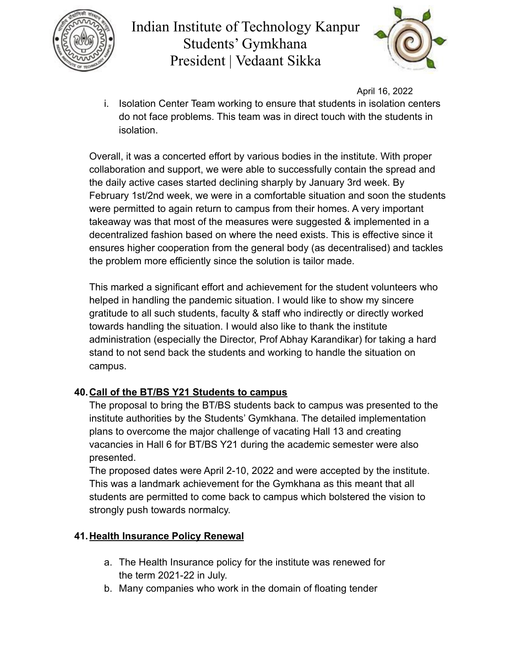



April 16, 2022

i. Isolation Center Team working to ensure that students in isolation centers do not face problems. This team was in direct touch with the students in isolation.

Overall, it was a concerted effort by various bodies in the institute. With proper collaboration and support, we were able to successfully contain the spread and the daily active cases started declining sharply by January 3rd week. By February 1st/2nd week, we were in a comfortable situation and soon the students were permitted to again return to campus from their homes. A very important takeaway was that most of the measures were suggested & implemented in a decentralized fashion based on where the need exists. This is effective since it ensures higher cooperation from the general body (as decentralised) and tackles the problem more efficiently since the solution is tailor made.

This marked a significant effort and achievement for the student volunteers who helped in handling the pandemic situation. I would like to show my sincere gratitude to all such students, faculty & staff who indirectly or directly worked towards handling the situation. I would also like to thank the institute administration (especially the Director, Prof Abhay Karandikar) for taking a hard stand to not send back the students and working to handle the situation on campus.

## **40.Call of the BT/BS Y21 Students to campus**

The proposal to bring the BT/BS students back to campus was presented to the institute authorities by the Students' Gymkhana. The detailed implementation plans to overcome the major challenge of vacating Hall 13 and creating vacancies in Hall 6 for BT/BS Y21 during the academic semester were also presented.

The proposed dates were April 2-10, 2022 and were accepted by the institute. This was a landmark achievement for the Gymkhana as this meant that all students are permitted to come back to campus which bolstered the vision to strongly push towards normalcy.

## **41.Health Insurance Policy Renewal**

- a. The Health Insurance policy for the institute was renewed for the term 2021-22 in July.
- b. Many companies who work in the domain of floating tender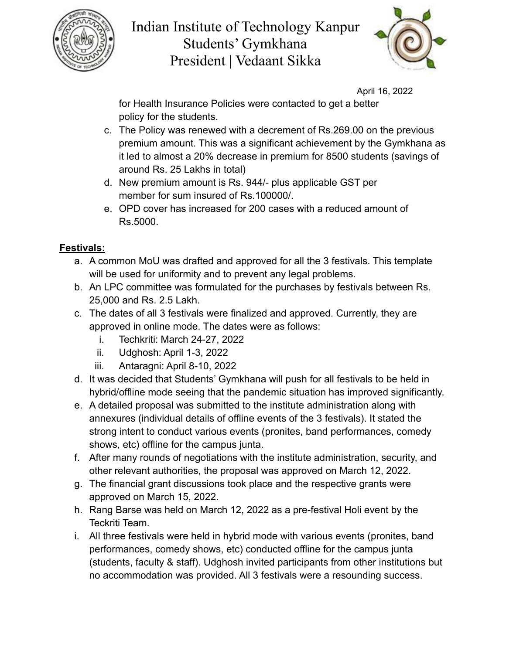



April 16, 2022

for Health Insurance Policies were contacted to get a better policy for the students.

- c. The Policy was renewed with a decrement of Rs.269.00 on the previous premium amount. This was a significant achievement by the Gymkhana as it led to almost a 20% decrease in premium for 8500 students (savings of around Rs. 25 Lakhs in total)
- d. New premium amount is Rs. 944/- plus applicable GST per member for sum insured of Rs.100000/.
- e. OPD cover has increased for 200 cases with a reduced amount of Rs.5000.

## **Festivals:**

- a. A common MoU was drafted and approved for all the 3 festivals. This template will be used for uniformity and to prevent any legal problems.
- b. An LPC committee was formulated for the purchases by festivals between Rs. 25,000 and Rs. 2.5 Lakh.
- c. The dates of all 3 festivals were finalized and approved. Currently, they are approved in online mode. The dates were as follows:
	- i. Techkriti: March 24-27, 2022
	- ii. Udghosh: April 1-3, 2022
	- iii. Antaragni: April 8-10, 2022
- d. It was decided that Students' Gymkhana will push for all festivals to be held in hybrid/offline mode seeing that the pandemic situation has improved significantly.
- e. A detailed proposal was submitted to the institute administration along with annexures (individual details of offline events of the 3 festivals). It stated the strong intent to conduct various events (pronites, band performances, comedy shows, etc) offline for the campus junta.
- f. After many rounds of negotiations with the institute administration, security, and other relevant authorities, the proposal was approved on March 12, 2022.
- g. The financial grant discussions took place and the respective grants were approved on March 15, 2022.
- h. Rang Barse was held on March 12, 2022 as a pre-festival Holi event by the Teckriti Team.
- i. All three festivals were held in hybrid mode with various events (pronites, band performances, comedy shows, etc) conducted offline for the campus junta (students, faculty & staff). Udghosh invited participants from other institutions but no accommodation was provided. All 3 festivals were a resounding success.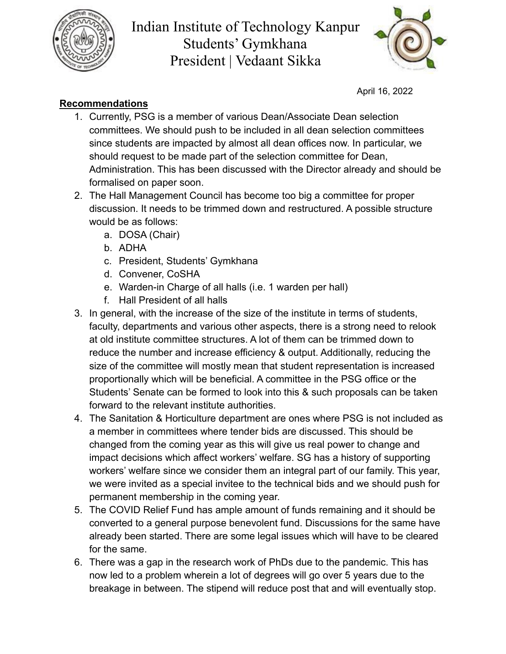



April 16, 2022

## **Recommendations**

- 1. Currently, PSG is a member of various Dean/Associate Dean selection committees. We should push to be included in all dean selection committees since students are impacted by almost all dean offices now. In particular, we should request to be made part of the selection committee for Dean, Administration. This has been discussed with the Director already and should be formalised on paper soon.
- 2. The Hall Management Council has become too big a committee for proper discussion. It needs to be trimmed down and restructured. A possible structure would be as follows:
	- a. DOSA (Chair)
	- b. ADHA
	- c. President, Students' Gymkhana
	- d. Convener, CoSHA
	- e. Warden-in Charge of all halls (i.e. 1 warden per hall)
	- f. Hall President of all halls
- 3. In general, with the increase of the size of the institute in terms of students, faculty, departments and various other aspects, there is a strong need to relook at old institute committee structures. A lot of them can be trimmed down to reduce the number and increase efficiency & output. Additionally, reducing the size of the committee will mostly mean that student representation is increased proportionally which will be beneficial. A committee in the PSG office or the Students' Senate can be formed to look into this & such proposals can be taken forward to the relevant institute authorities.
- 4. The Sanitation & Horticulture department are ones where PSG is not included as a member in committees where tender bids are discussed. This should be changed from the coming year as this will give us real power to change and impact decisions which affect workers' welfare. SG has a history of supporting workers' welfare since we consider them an integral part of our family. This year, we were invited as a special invitee to the technical bids and we should push for permanent membership in the coming year.
- 5. The COVID Relief Fund has ample amount of funds remaining and it should be converted to a general purpose benevolent fund. Discussions for the same have already been started. There are some legal issues which will have to be cleared for the same.
- 6. There was a gap in the research work of PhDs due to the pandemic. This has now led to a problem wherein a lot of degrees will go over 5 years due to the breakage in between. The stipend will reduce post that and will eventually stop.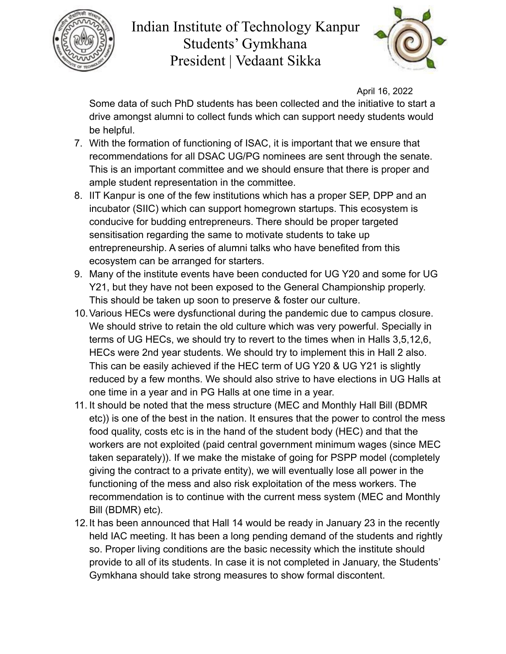



April 16, 2022

Some data of such PhD students has been collected and the initiative to start a drive amongst alumni to collect funds which can support needy students would be helpful.

- 7. With the formation of functioning of ISAC, it is important that we ensure that recommendations for all DSAC UG/PG nominees are sent through the senate. This is an important committee and we should ensure that there is proper and ample student representation in the committee.
- 8. IIT Kanpur is one of the few institutions which has a proper SEP, DPP and an incubator (SIIC) which can support homegrown startups. This ecosystem is conducive for budding entrepreneurs. There should be proper targeted sensitisation regarding the same to motivate students to take up entrepreneurship. A series of alumni talks who have benefited from this ecosystem can be arranged for starters.
- 9. Many of the institute events have been conducted for UG Y20 and some for UG Y21, but they have not been exposed to the General Championship properly. This should be taken up soon to preserve & foster our culture.
- 10.Various HECs were dysfunctional during the pandemic due to campus closure. We should strive to retain the old culture which was very powerful. Specially in terms of UG HECs, we should try to revert to the times when in Halls 3,5,12,6, HECs were 2nd year students. We should try to implement this in Hall 2 also. This can be easily achieved if the HEC term of UG Y20 & UG Y21 is slightly reduced by a few months. We should also strive to have elections in UG Halls at one time in a year and in PG Halls at one time in a year.
- 11. It should be noted that the mess structure (MEC and Monthly Hall Bill (BDMR etc)) is one of the best in the nation. It ensures that the power to control the mess food quality, costs etc is in the hand of the student body (HEC) and that the workers are not exploited (paid central government minimum wages (since MEC taken separately)). If we make the mistake of going for PSPP model (completely giving the contract to a private entity), we will eventually lose all power in the functioning of the mess and also risk exploitation of the mess workers. The recommendation is to continue with the current mess system (MEC and Monthly Bill (BDMR) etc).
- 12.It has been announced that Hall 14 would be ready in January 23 in the recently held IAC meeting. It has been a long pending demand of the students and rightly so. Proper living conditions are the basic necessity which the institute should provide to all of its students. In case it is not completed in January, the Students' Gymkhana should take strong measures to show formal discontent.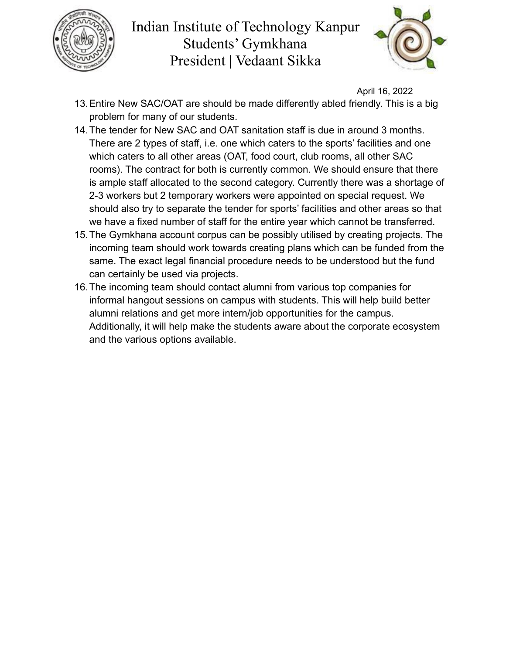



April 16, 2022

- 13.Entire New SAC/OAT are should be made differently abled friendly. This is a big problem for many of our students.
- 14.The tender for New SAC and OAT sanitation staff is due in around 3 months. There are 2 types of staff, i.e. one which caters to the sports' facilities and one which caters to all other areas (OAT, food court, club rooms, all other SAC rooms). The contract for both is currently common. We should ensure that there is ample staff allocated to the second category. Currently there was a shortage of 2-3 workers but 2 temporary workers were appointed on special request. We should also try to separate the tender for sports' facilities and other areas so that we have a fixed number of staff for the entire year which cannot be transferred.
- 15.The Gymkhana account corpus can be possibly utilised by creating projects. The incoming team should work towards creating plans which can be funded from the same. The exact legal financial procedure needs to be understood but the fund can certainly be used via projects.
- 16.The incoming team should contact alumni from various top companies for informal hangout sessions on campus with students. This will help build better alumni relations and get more intern/job opportunities for the campus. Additionally, it will help make the students aware about the corporate ecosystem and the various options available.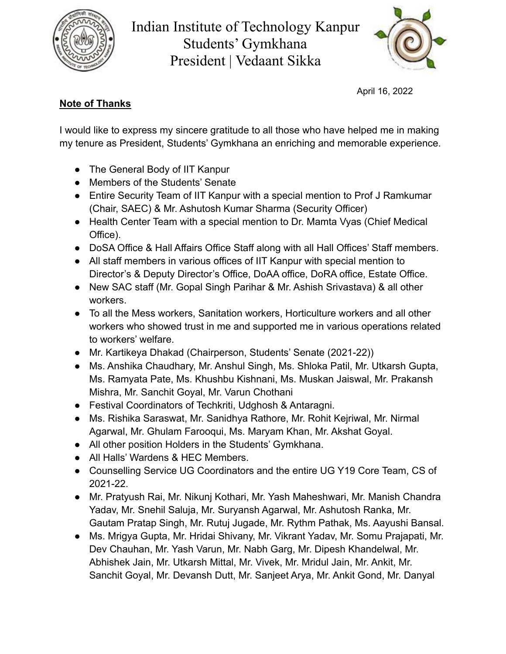



April 16, 2022

## **Note of Thanks**

I would like to express my sincere gratitude to all those who have helped me in making my tenure as President, Students' Gymkhana an enriching and memorable experience.

- The General Body of IIT Kanpur
- Members of the Students' Senate
- Entire Security Team of IIT Kanpur with a special mention to Prof J Ramkumar (Chair, SAEC) & Mr. Ashutosh Kumar Sharma (Security Officer)
- Health Center Team with a special mention to Dr. Mamta Vyas (Chief Medical Office).
- DoSA Office & Hall Affairs Office Staff along with all Hall Offices' Staff members.
- All staff members in various offices of IIT Kanpur with special mention to Director's & Deputy Director's Office, DoAA office, DoRA office, Estate Office.
- New SAC staff (Mr. Gopal Singh Parihar & Mr. Ashish Srivastava) & all other workers.
- To all the Mess workers, Sanitation workers, Horticulture workers and all other workers who showed trust in me and supported me in various operations related to workers' welfare.
- Mr. Kartikeya Dhakad (Chairperson, Students' Senate (2021-22))
- Ms. Anshika Chaudhary, Mr. Anshul Singh, Ms. Shloka Patil, Mr. Utkarsh Gupta, Ms. Ramyata Pate, Ms. Khushbu Kishnani, Ms. Muskan Jaiswal, Mr. Prakansh Mishra, Mr. Sanchit Goyal, Mr. Varun Chothani
- Festival Coordinators of Techkriti, Udghosh & Antaragni.
- Ms. Rishika Saraswat, Mr. Sanidhya Rathore, Mr. Rohit Kejriwal, Mr. Nirmal Agarwal, Mr. Ghulam Farooqui, Ms. Maryam Khan, Mr. Akshat Goyal.
- All other position Holders in the Students' Gymkhana.
- All Halls' Wardens & HEC Members.
- Counselling Service UG Coordinators and the entire UG Y19 Core Team, CS of 2021-22.
- Mr. Pratyush Rai, Mr. Nikunj Kothari, Mr. Yash Maheshwari, Mr. Manish Chandra Yadav, Mr. Snehil Saluja, Mr. Suryansh Agarwal, Mr. Ashutosh Ranka, Mr. Gautam Pratap Singh, Mr. Rutuj Jugade, Mr. Rythm Pathak, Ms. Aayushi Bansal.
- Ms. Mrigya Gupta, Mr. Hridai Shivany, Mr. Vikrant Yadav, Mr. Somu Prajapati, Mr. Dev Chauhan, Mr. Yash Varun, Mr. Nabh Garg, Mr. Dipesh Khandelwal, Mr. Abhishek Jain, Mr. Utkarsh Mittal, Mr. Vivek, Mr. Mridul Jain, Mr. Ankit, Mr. Sanchit Goyal, Mr. Devansh Dutt, Mr. Sanjeet Arya, Mr. Ankit Gond, Mr. Danyal